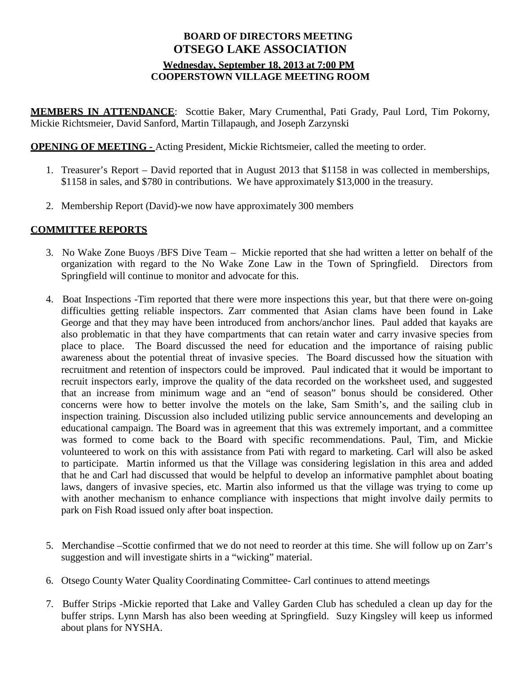## **BOARD OF DIRECTORS MEETING OTSEGO LAKE ASSOCIATION Wednesday, September 18, 2013 at 7:00 PM COOPERSTOWN VILLAGE MEETING ROOM**

**MEMBERS IN ATTENDANCE**: Scottie Baker, Mary Crumenthal, Pati Grady, Paul Lord, Tim Pokorny, Mickie Richtsmeier, David Sanford, Martin Tillapaugh, and Joseph Zarzynski

**OPENING OF MEETING -** Acting President, Mickie Richtsmeier, called the meeting to order.

- 1. Treasurer's Report David reported that in August 2013 that \$1158 in was collected in memberships, \$1158 in sales, and \$780 in contributions. We have approximately \$13,000 in the treasury.
- 2. Membership Report (David)-we now have approximately 300 members

## **COMMITTEE REPORTS**

- 3. No Wake Zone Buoys /BFS Dive Team Mickie reported that she had written a letter on behalf of the organization with regard to the No Wake Zone Law in the Town of Springfield. Directors from Springfield will continue to monitor and advocate for this.
- 4. Boat Inspections -Tim reported that there were more inspections this year, but that there were on-going difficulties getting reliable inspectors. Zarr commented that Asian clams have been found in Lake George and that they may have been introduced from anchors/anchor lines. Paul added that kayaks are also problematic in that they have compartments that can retain water and carry invasive species from place to place. The Board discussed the need for education and the importance of raising public awareness about the potential threat of invasive species. The Board discussed how the situation with recruitment and retention of inspectors could be improved. Paul indicated that it would be important to recruit inspectors early, improve the quality of the data recorded on the worksheet used, and suggested that an increase from minimum wage and an "end of season" bonus should be considered. Other concerns were how to better involve the motels on the lake, Sam Smith's, and the sailing club in inspection training. Discussion also included utilizing public service announcements and developing an educational campaign. The Board was in agreement that this was extremely important, and a committee was formed to come back to the Board with specific recommendations. Paul, Tim, and Mickie volunteered to work on this with assistance from Pati with regard to marketing. Carl will also be asked to participate. Martin informed us that the Village was considering legislation in this area and added that he and Carl had discussed that would be helpful to develop an informative pamphlet about boating laws, dangers of invasive species, etc. Martin also informed us that the village was trying to come up with another mechanism to enhance compliance with inspections that might involve daily permits to park on Fish Road issued only after boat inspection.
- 5. Merchandise –Scottie confirmed that we do not need to reorder at this time. She will follow up on Zarr's suggestion and will investigate shirts in a "wicking" material.
- 6. Otsego County Water Quality Coordinating Committee- Carl continues to attend meetings
- 7. Buffer Strips -Mickie reported that Lake and Valley Garden Club has scheduled a clean up day for the buffer strips. Lynn Marsh has also been weeding at Springfield. Suzy Kingsley will keep us informed about plans for NYSHA.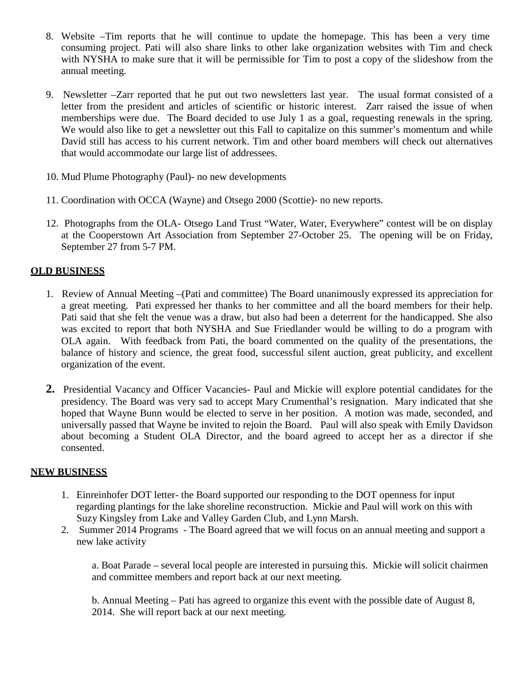- 8. Website –Tim reports that he will continue to update the homepage. This has been a very time consuming project. Pati will also share links to other lake organization websites with Tim and check with NYSHA to make sure that it will be permissible for Tim to post a copy of the slideshow from the annual meeting.
- 9. Newsletter –Zarr reported that he put out two newsletters last year. The usual format consisted of a letter from the president and articles of scientific or historic interest. Zarr raised the issue of when memberships were due. The Board decided to use July 1 as a goal, requesting renewals in the spring. We would also like to get a newsletter out this Fall to capitalize on this summer's momentum and while David still has access to his current network. Tim and other board members will check out alternatives that would accommodate our large list of addressees.
- 10. Mud Plume Photography (Paul)- no new developments
- 11. Coordination with OCCA (Wayne) and Otsego 2000 (Scottie)- no new reports.
- 12. Photographs from the OLA- Otsego Land Trust "Water, Water, Everywhere" contest will be on display at the Cooperstown Art Association from September 27-October 25. The opening will be on Friday, September 27 from 5-7 PM.

## **OLD BUSINESS**

- 1. Review of Annual Meeting –(Pati and committee) The Board unanimously expressed its appreciation for a great meeting. Pati expressed her thanks to her committee and all the board members for their help. Pati said that she felt the venue was a draw, but also had been a deterrent for the handicapped. She also was excited to report that both NYSHA and Sue Friedlander would be willing to do a program with OLA again. With feedback from Pati, the board commented on the quality of the presentations, the balance of history and science, the great food, successful silent auction, great publicity, and excellent organization of the event.
- **2.** Presidential Vacancy and Officer Vacancies- Paul and Mickie will explore potential candidates for the presidency. The Board was very sad to accept Mary Crumenthal's resignation. Mary indicated that she hoped that Wayne Bunn would be elected to serve in her position. A motion was made, seconded, and universally passed that Wayne be invited to rejoin the Board. Paul will also speak with Emily Davidson about becoming a Student OLA Director, and the board agreed to accept her as a director if she consented.

## **NEW BUSINESS**

- 1. Einreinhofer DOT letter- the Board supported our responding to the DOT openness for input regarding plantings for the lake shoreline reconstruction. Mickie and Paul will work on this with Suzy Kingsley from Lake and Valley Garden Club, and Lynn Marsh.
- 2. Summer 2014 Programs The Board agreed that we will focus on an annual meeting and support a new lake activity

a. Boat Parade – several local people are interested in pursuing this. Mickie will solicit chairmen and committee members and report back at our next meeting.

b. Annual Meeting – Pati has agreed to organize this event with the possible date of August 8, 2014. She will report back at our next meeting.